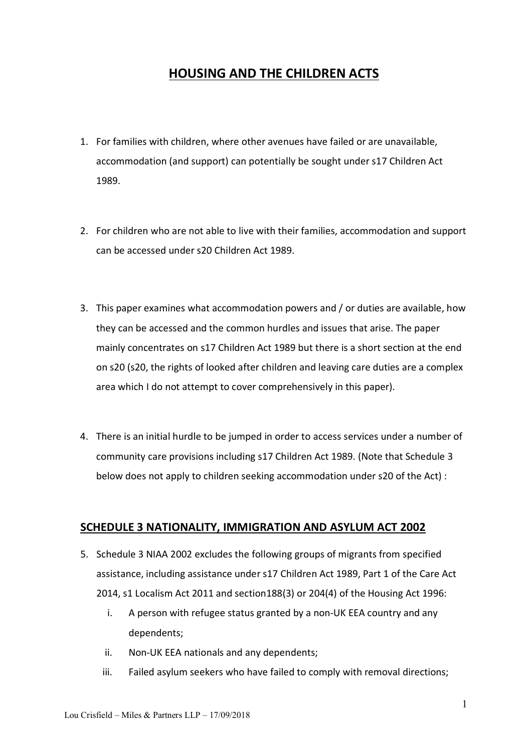# **HOUSING AND THE CHILDREN ACTS**

- 1. For families with children, where other avenues have failed or are unavailable, accommodation (and support) can potentially be sought under s17 Children Act 1989.
- 2. For children who are not able to live with their families, accommodation and support can be accessed under s20 Children Act 1989.
- 3. This paper examines what accommodation powers and / or duties are available, how they can be accessed and the common hurdles and issues that arise. The paper mainly concentrates on s17 Children Act 1989 but there is a short section at the end on s20 (s20, the rights of looked after children and leaving care duties are a complex area which I do not attempt to cover comprehensively in this paper).
- 4. There is an initial hurdle to be jumped in order to access services under a number of community care provisions including s17 Children Act 1989. (Note that Schedule 3 below does not apply to children seeking accommodation under s20 of the Act) :

## **SCHEDULE 3 NATIONALITY, IMMIGRATION AND ASYLUM ACT 2002**

- 5. Schedule 3 NIAA 2002 excludes the following groups of migrants from specified assistance, including assistance under s17 Children Act 1989, Part 1 of the Care Act 2014, s1 Localism Act 2011 and section188(3) or 204(4) of the Housing Act 1996:
	- i. A person with refugee status granted by a non-UK EEA country and any dependents;
	- ii. Non-UK EEA nationals and any dependents;
	- iii. Failed asylum seekers who have failed to comply with removal directions;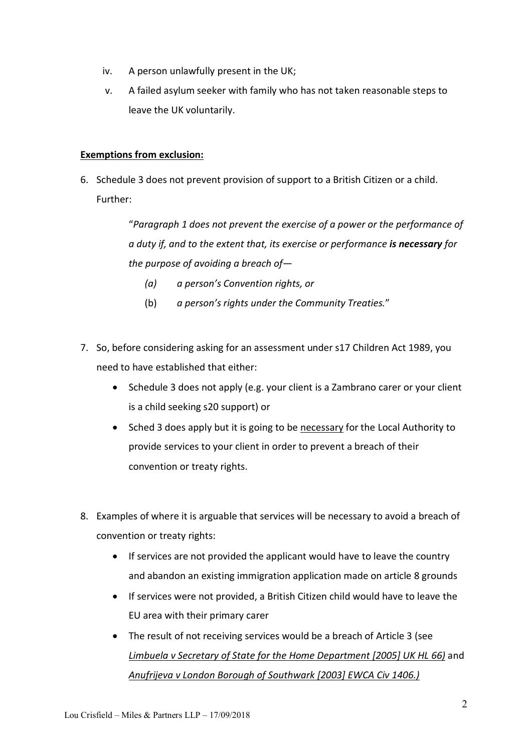- iv. A person unlawfully present in the UK;
- v. A failed asylum seeker with family who has not taken reasonable steps to leave the UK voluntarily.

### **Exemptions from exclusion:**

6. Schedule 3 does not prevent provision of support to a British Citizen or a child. Further:

> "*Paragraph 1 does not prevent the exercise of a power or the performance of a duty if, and to the extent that, its exercise or performance is necessary for the purpose of avoiding a breach of—*

- *(a) a person's Convention rights, or*
- (b) *a person's rights under the Community Treaties.*"
- 7. So, before considering asking for an assessment under s17 Children Act 1989, you need to have established that either:
	- Schedule 3 does not apply (e.g. your client is a Zambrano carer or your client is a child seeking s20 support) or
	- Sched 3 does apply but it is going to be necessary for the Local Authority to provide services to your client in order to prevent a breach of their convention or treaty rights.
- 8. Examples of where it is arguable that services will be necessary to avoid a breach of convention or treaty rights:
	- If services are not provided the applicant would have to leave the country and abandon an existing immigration application made on article 8 grounds
	- If services were not provided, a British Citizen child would have to leave the EU area with their primary carer
	- The result of not receiving services would be a breach of Article 3 (see *Limbuela v Secretary of State for the Home Department [\[2005\] UK HL 66](http://www.bailii.org/uk/cases/UKHL/2005/UKHL_2005_66.html))* and *Anufrijeva v London Borough of Southwark [\[2003\] EWCA Civ 1406](http://www.bailii.org/ew/cases/EWCA/Civ/2003/1406.html).)*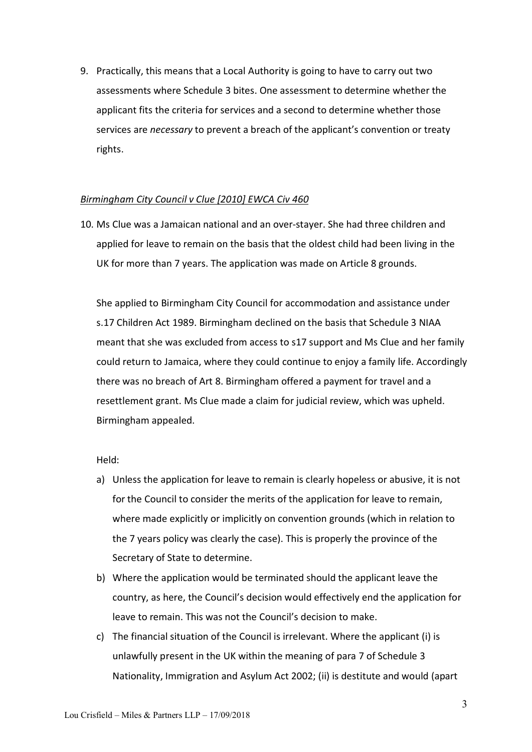9. Practically, this means that a Local Authority is going to have to carry out two assessments where Schedule 3 bites. One assessment to determine whether the applicant fits the criteria for services and a second to determine whether those services are *necessary* to prevent a breach of the applicant's convention or treaty rights.

#### *Birmingham City Council v Clue [2010] EWCA Civ 460*

10. Ms Clue was a Jamaican national and an over-stayer. She had three children and applied for leave to remain on the basis that the oldest child had been living in the UK for more than 7 years. The application was made on Article 8 grounds.

She applied to Birmingham City Council for accommodation and assistance under s.17 Children Act 1989. Birmingham declined on the basis that Schedule 3 NIAA meant that she was excluded from access to s17 support and Ms Clue and her family could return to Jamaica, where they could continue to enjoy a family life. Accordingly there was no breach of Art 8. Birmingham offered a payment for travel and a resettlement grant. Ms Clue made a claim for judicial review, which was upheld. Birmingham appealed.

#### Held:

- a) Unless the application for leave to remain is clearly hopeless or abusive, it is not for the Council to consider the merits of the application for leave to remain, where made explicitly or implicitly on convention grounds (which in relation to the 7 years policy was clearly the case). This is properly the province of the Secretary of State to determine.
- b) Where the application would be terminated should the applicant leave the country, as here, the Council's decision would effectively end the application for leave to remain. This was not the Council's decision to make.
- c) The financial situation of the Council is irrelevant. Where the applicant (i) is unlawfully present in the UK within the meaning of para 7 of Schedule 3 Nationality, Immigration and Asylum Act 2002; (ii) is destitute and would (apart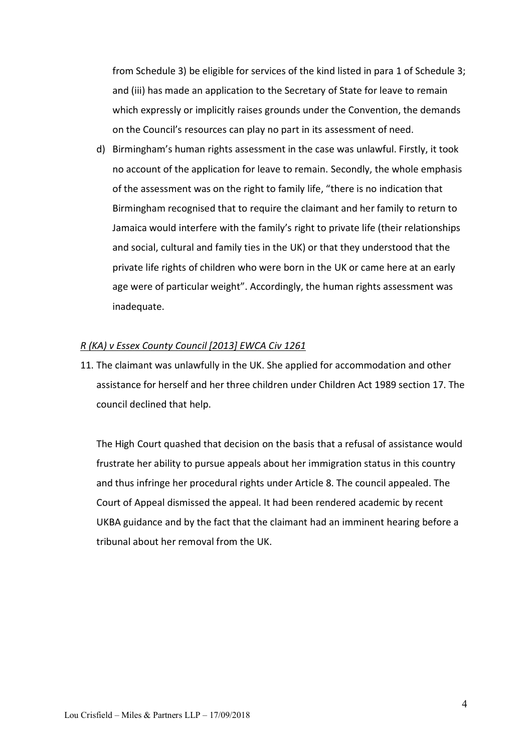from Schedule 3) be eligible for services of the kind listed in para 1 of Schedule 3; and (iii) has made an application to the Secretary of State for leave to remain which expressly or implicitly raises grounds under the Convention, the demands on the Council's resources can play no part in its assessment of need.

d) Birmingham's human rights assessment in the case was unlawful. Firstly, it took no account of the application for leave to remain. Secondly, the whole emphasis of the assessment was on the right to family life, "there is no indication that Birmingham recognised that to require the claimant and her family to return to Jamaica would interfere with the family's right to private life (their relationships and social, cultural and family ties in the UK) or that they understood that the private life rights of children who were born in the UK or came here at an early age were of particular weight". Accordingly, the human rights assessment was inadequate.

#### *R (KA) v Essex County Council [2013] EWCA Civ 1261*

11. The claimant was unlawfully in the UK. She applied for accommodation and other assistance for herself and her three children under Children Act 1989 section 17. The council declined that help.

The High Court quashed that decision on the basis that a refusal of assistance would frustrate her ability to pursue appeals about her immigration status in this country and thus infringe her procedural rights under Article 8. The council appealed. The Court of Appeal dismissed the appeal. It had been rendered academic by recent UKBA guidance and by the fact that the claimant had an imminent hearing before a tribunal about her removal from the UK.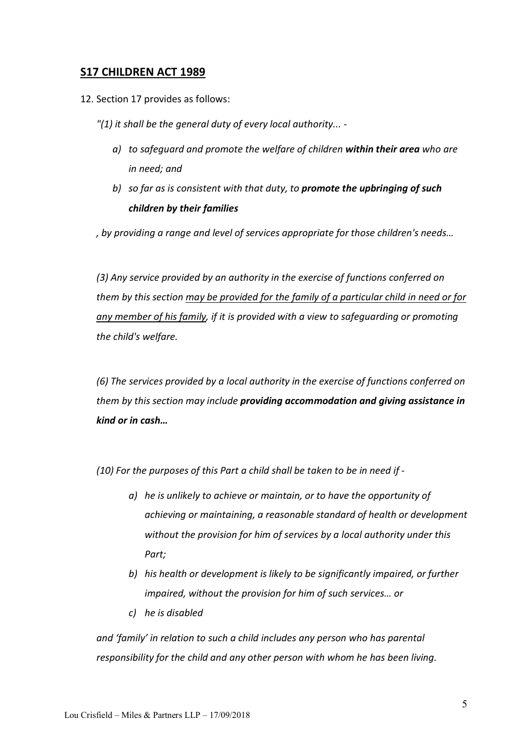## **S17 CHILDREN ACT 1989**

12. Section 17 provides as follows:

*"(1) it shall be the general duty of every local authority... -*

- *a) to safeguard and promote the welfare of children within their area who are in need; and*
- *b) so far as is consistent with that duty, to promote the upbringing of such children by their families*

*, by providing a range and level of services appropriate for those children's needs…*

*(3) Any service provided by an authority in the exercise of functions conferred on them by this section may be provided for the family of a particular child in need or for any member of his family, if it is provided with a view to safeguarding or promoting the child's welfare.*

*(6) The services provided by a local authority in the exercise of functions conferred on them by this section may include providing accommodation and giving assistance in kind or in cash…*

*(10) For the purposes of this Part a child shall be taken to be in need if -*

- *a) he is unlikely to achieve or maintain, or to have the opportunity of achieving or maintaining, a reasonable standard of health or development without the provision for him of services by a local authority under this Part;*
- *b) his health or development is likely to be significantly impaired, or further impaired, without the provision for him of such services… or*
- *c) he is disabled*

*and 'family' in relation to such a child includes any person who has parental responsibility for the child and any other person with whom he has been living.*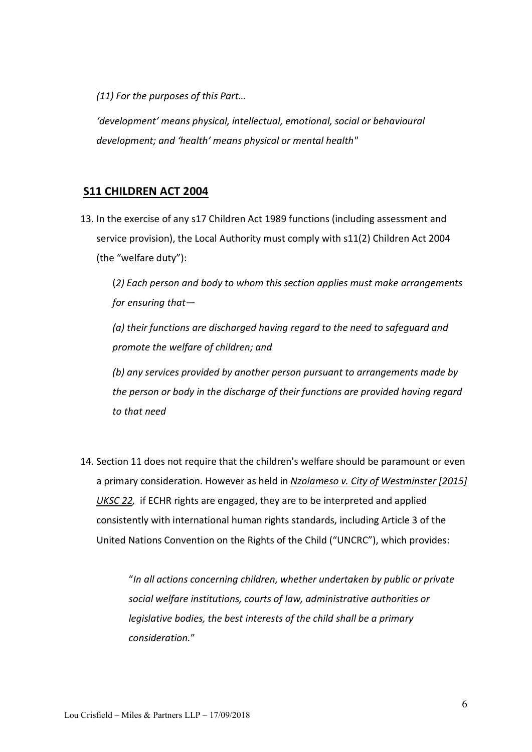*(11) For the purposes of this Part…*

*'development' means physical, intellectual, emotional, social or behavioural development; and 'health' means physical or mental health"*

# **S11 CHILDREN ACT 2004**

13. In the exercise of any s17 Children Act 1989 functions (including assessment and service provision), the Local Authority must comply with s11(2) Children Act 2004 (the "welfare duty"):

(*2) Each person and body to whom this section applies must make arrangements for ensuring that—*

*(a) their functions are discharged having regard to the need to safeguard and promote the welfare of children; and*

*(b) any services provided by another person pursuant to arrangements made by the person or body in the discharge of their functions are provided having regard to that need*

14. Section 11 does not require that the children's welfare should be paramount or even a primary consideration. However as held in *Nzolameso v. City of Westminster [2015] UKSC 22,* if ECHR rights are engaged, they are to be interpreted and applied consistently with international human rights standards, including Article 3 of the United Nations Convention on the Rights of the Child ("UNCRC"), which provides:

> "*In all actions concerning children, whether undertaken by public or private social welfare institutions, courts of law, administrative authorities or legislative bodies, the best interests of the child shall be a primary consideration.*"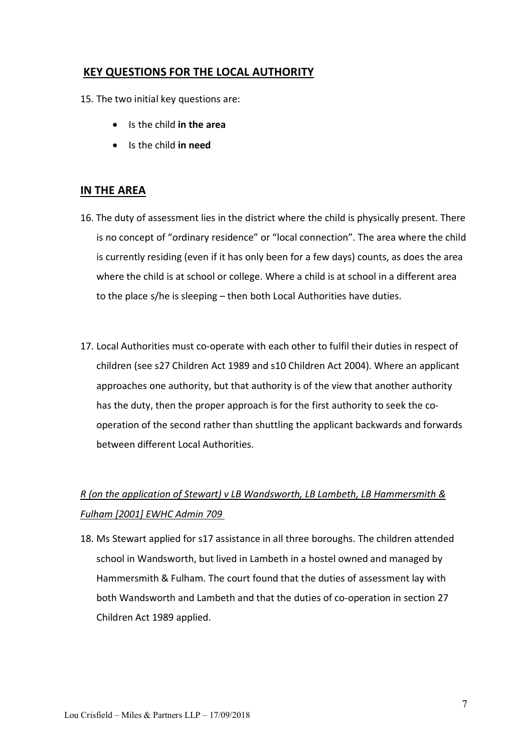# **KEY QUESTIONS FOR THE LOCAL AUTHORITY**

15. The two initial key questions are:

- Is the child **in the area**
- Is the child **in need**

# **IN THE AREA**

- 16. The duty of assessment lies in the district where the child is physically present. There is no concept of "ordinary residence" or "local connection". The area where the child is currently residing (even if it has only been for a few days) counts, as does the area where the child is at school or college. Where a child is at school in a different area to the place s/he is sleeping – then both Local Authorities have duties.
- 17. Local Authorities must co-operate with each other to fulfil their duties in respect of children (see s27 Children Act 1989 and s10 Children Act 2004). Where an applicant approaches one authority, but that authority is of the view that another authority has the duty, then the proper approach is for the first authority to seek the cooperation of the second rather than shuttling the applicant backwards and forwards between different Local Authorities.

# *R (on the application of Stewart) v LB Wandsworth, LB Lambeth, LB Hammersmith & Fulham [2001] [EWHC Admin 709](http://www.bailii.org/ew/cases/EWHC/Admin/2001/709.html)*

18. Ms Stewart applied for s17 assistance in all three boroughs. The children attended school in Wandsworth, but lived in Lambeth in a hostel owned and managed by Hammersmith & Fulham. The court found that the duties of assessment lay with both Wandsworth and Lambeth and that the duties of co-operation in section 27 Children Act 1989 applied.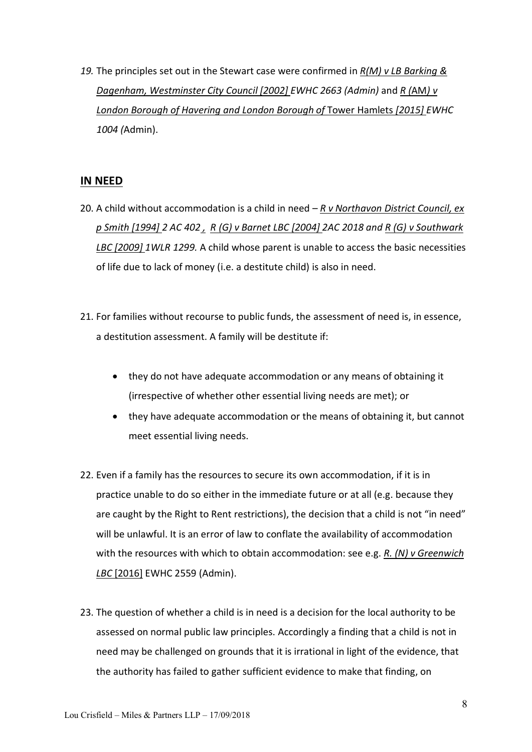*19.* The principles set out in the Stewart case were confirmed in *R(M) v LB Barking & Dagenham, Westminster City Council [2002] EWHC 2663 (Admin)* and *R (*AM*) v London Borough of Havering and London Borough of* Tower Hamlets *[2015] EWHC 1004 (*Admin).

## **IN NEED**

- 20. A child without accommodation is a child in need *R v Northavon District Council, ex p Smith [1994] 2 AC 402 , R (G) v Barnet LBC [2004] 2AC 2018 and R (G) v Southwark LBC [2009] 1WLR 1299.* A child whose parent is unable to access the basic necessities of life due to lack of money (i.e. a destitute child) is also in need.
- 21. For families without recourse to public funds, the assessment of need is, in essence, a destitution assessment. A family will be destitute if:
	- they do not have adequate accommodation or any means of obtaining it (irrespective of whether other essential living needs are met); or
	- they have adequate accommodation or the means of obtaining it, but cannot meet essential living needs.
- 22. Even if a family has the resources to secure its own accommodation, if it is in practice unable to do so either in the immediate future or at all (e.g. because they are caught by the Right to Rent restrictions), the decision that a child is not "in need" will be unlawful. It is an error of law to conflate the availability of accommodation with the resources with which to obtain accommodation: see e.g. *R. (N) v Greenwich LBC* [2016] EWHC 2559 (Admin).
- 23. The question of whether a child is in need is a decision for the local authority to be assessed on normal public law principles. Accordingly a finding that a child is not in need may be challenged on grounds that it is irrational in light of the evidence, that the authority has failed to gather sufficient evidence to make that finding, on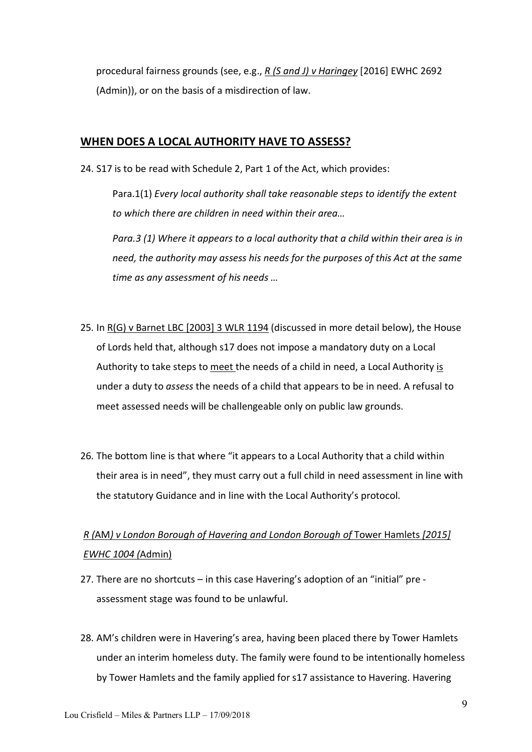procedural fairness grounds (see, e.g., *R (S and J) v Haringey* [2016] EWHC 2692 (Admin)), or on the basis of a misdirection of law.

### **WHEN DOES A LOCAL AUTHORITY HAVE TO ASSESS?**

24. S17 is to be read with Schedule 2, Part 1 of the Act, which provides:

Para.1(1) *Every local authority shall take reasonable steps to identify the extent to which there are children in need within their area…*

*Para.3 (1) Where it appears to a local authority that a child within their area is in need, the authority may assess his needs for the purposes of this Act at the same time as any assessment of his needs …*

- 25. In R(G) v Barnet LBC [2003] 3 WLR 1194 (discussed in more detail below), the House of Lords held that, although s17 does not impose a mandatory duty on a Local Authority to take steps to meet the needs of a child in need, a Local Authority is under a duty to *assess* the needs of a child that appears to be in need. A refusal to meet assessed needs will be challengeable only on public law grounds.
- 26. The bottom line is that where "it appears to a Local Authority that a child within their area is in need", they must carry out a full child in need assessment in line with the statutory Guidance and in line with the Local Authority's protocol.

# *R (*AM*) v London Borough of Havering and London Borough of* Tower Hamlets *[2015] EWHC 1004 (*Admin)

- 27. There are no shortcuts in this case Havering's adoption of an "initial" pre assessment stage was found to be unlawful.
- 28. AM's children were in Havering's area, having been placed there by Tower Hamlets under an interim homeless duty. The family were found to be intentionally homeless by Tower Hamlets and the family applied for s17 assistance to Havering. Havering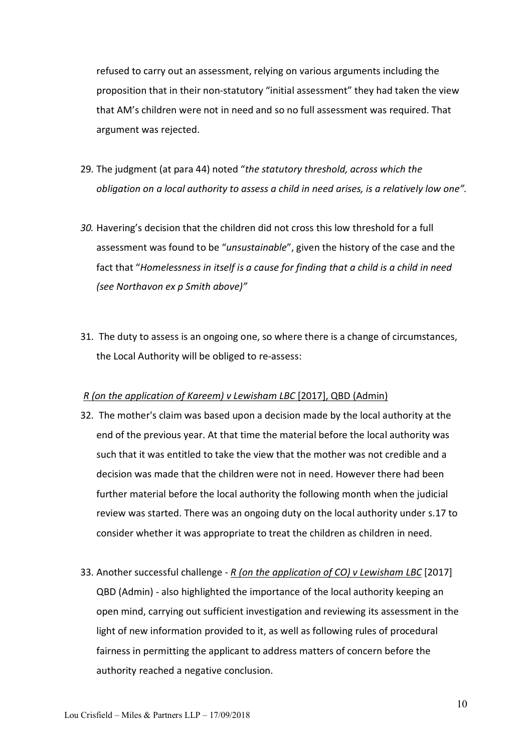refused to carry out an assessment, relying on various arguments including the proposition that in their non-statutory "initial assessment" they had taken the view that AM's children were not in need and so no full assessment was required. That argument was rejected.

- 29. The judgment (at para 44) noted "*the statutory threshold, across which the obligation on a local authority to assess a child in need arises, is a relatively low one".*
- *30.* Havering's decision that the children did not cross this low threshold for a full assessment was found to be "*unsustainable*", given the history of the case and the fact that "*Homelessness in itself is a cause for finding that a child is a child in need (see Northavon ex p Smith above)"*
- 31. The duty to assess is an ongoing one, so where there is a change of circumstances, the Local Authority will be obliged to re-assess:

#### *R (on the application of Kareem) v Lewisham LBC* [2017], QBD (Admin)

- 32. The mother's claim was based upon a decision made by the local authority at the end of the previous year. At that time the material before the local authority was such that it was entitled to take the view that the mother was not credible and a decision was made that the children were not in need. However there had been further material before the local authority the following month when the judicial review was started. There was an ongoing duty on the local authority under s.17 to consider whether it was appropriate to treat the children as children in need.
- 33. Another successful challenge *R (on the application of CO) v Lewisham LBC* [2017] QBD (Admin) - also highlighted the importance of the local authority keeping an open mind, carrying out sufficient investigation and reviewing its assessment in the light of new information provided to it, as well as following rules of procedural fairness in permitting the applicant to address matters of concern before the authority reached a negative conclusion.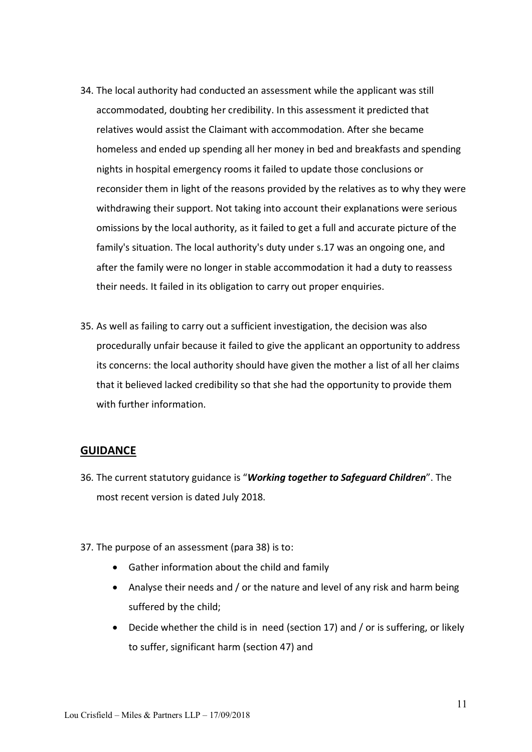- 34. The local authority had conducted an assessment while the applicant was still accommodated, doubting her credibility. In this assessment it predicted that relatives would assist the Claimant with accommodation. After she became homeless and ended up spending all her money in bed and breakfasts and spending nights in hospital emergency rooms it failed to update those conclusions or reconsider them in light of the reasons provided by the relatives as to why they were withdrawing their support. Not taking into account their explanations were serious omissions by the local authority, as it failed to get a full and accurate picture of the family's situation. The local authority's duty under s.17 was an ongoing one, and after the family were no longer in stable accommodation it had a duty to reassess their needs. It failed in its obligation to carry out proper enquiries.
- 35. As well as failing to carry out a sufficient investigation, the decision was also procedurally unfair because it failed to give the applicant an opportunity to address its concerns: the local authority should have given the mother a list of all her claims that it believed lacked credibility so that she had the opportunity to provide them with further information.

## **GUIDANCE**

- 36. The current statutory guidance is "*Working together to Safeguard Children*". The most recent version is dated July 2018.
- 37. The purpose of an assessment (para 38) is to:
	- Gather information about the child and family
	- Analyse their needs and / or the nature and level of any risk and harm being suffered by the child;
	- Decide whether the child is in need (section 17) and / or is suffering, or likely to suffer, significant harm (section 47) and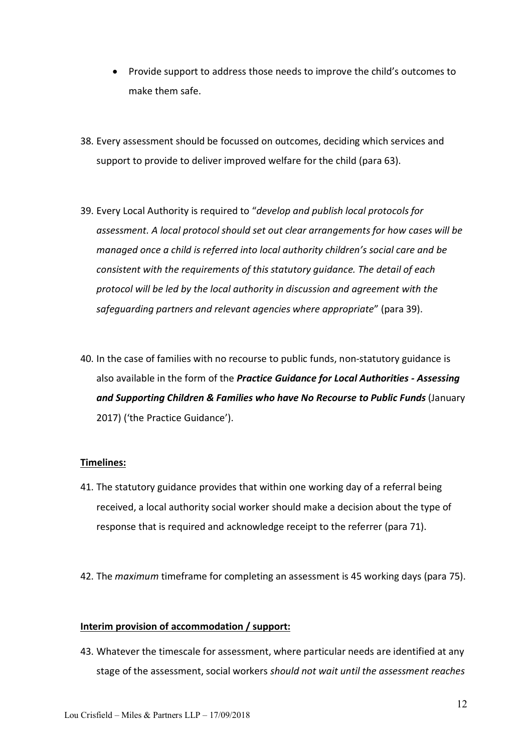- Provide support to address those needs to improve the child's outcomes to make them safe.
- 38. Every assessment should be focussed on outcomes, deciding which services and support to provide to deliver improved welfare for the child (para 63).
- 39. Every Local Authority is required to "*develop and publish local protocols for assessment. A local protocol should set out clear arrangements for how cases will be managed once a child is referred into local authority children's social care and be consistent with the requirements of this statutory guidance. The detail of each protocol will be led by the local authority in discussion and agreement with the safeguarding partners and relevant agencies where appropriate*" (para 39).
- 40. In the case of families with no recourse to public funds, non-statutory guidance is also available in the form of the *Practice Guidance for Local Authorities - Assessing and Supporting Children & Families who have No Recourse to Public Funds* (January 2017) ('the Practice Guidance').

#### **Timelines:**

- 41. The statutory guidance provides that within one working day of a referral being received, a local authority social worker should make a decision about the type of response that is required and acknowledge receipt to the referrer (para 71).
- 42. The *maximum* timeframe for completing an assessment is 45 working days (para 75).

#### **Interim provision of accommodation / support:**

43. Whatever the timescale for assessment, where particular needs are identified at any stage of the assessment, social workers *should not wait until the assessment reaches*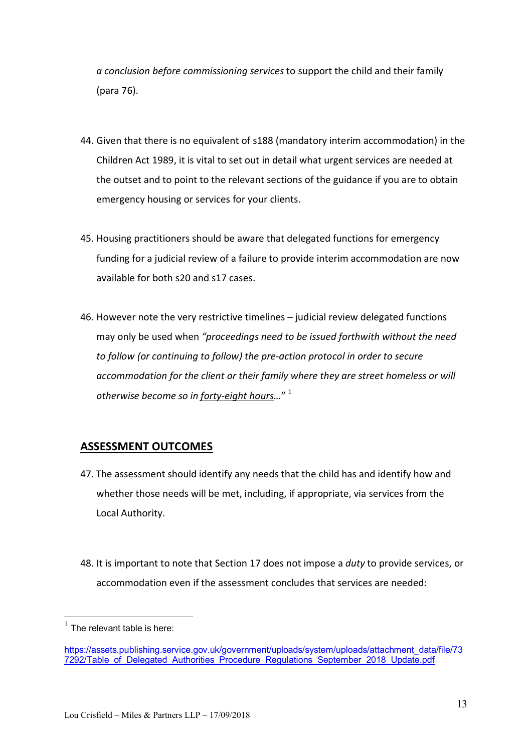*a conclusion before commissioning services* to support the child and their family (para 76).

- 44. Given that there is no equivalent of s188 (mandatory interim accommodation) in the Children Act 1989, it is vital to set out in detail what urgent services are needed at the outset and to point to the relevant sections of the guidance if you are to obtain emergency housing or services for your clients.
- 45. Housing practitioners should be aware that delegated functions for emergency funding for a judicial review of a failure to provide interim accommodation are now available for both s20 and s17 cases.
- 46. However note the very restrictive timelines judicial review delegated functions may only be used when *"proceedings need to be issued forthwith without the need to follow (or continuing to follow) the pre-action protocol in order to secure accommodation for the client or their family where they are street homeless or will otherwise become so in forty-eight hours…*" 1

# **ASSESSMENT OUTCOMES**

- 47. The assessment should identify any needs that the child has and identify how and whether those needs will be met, including, if appropriate, via services from the Local Authority.
- 48. It is important to note that Section 17 does not impose a *duty* to provide services, or accommodation even if the assessment concludes that services are needed:

 $<sup>1</sup>$  The relevant table is here:</sup>

https://assets.publishing.service.gov.uk/government/uploads/system/uploads/attachment\_data/file/73 7292/Table\_of\_Delegated\_Authorities\_Procedure\_Regulations\_September\_2018\_Update.pdf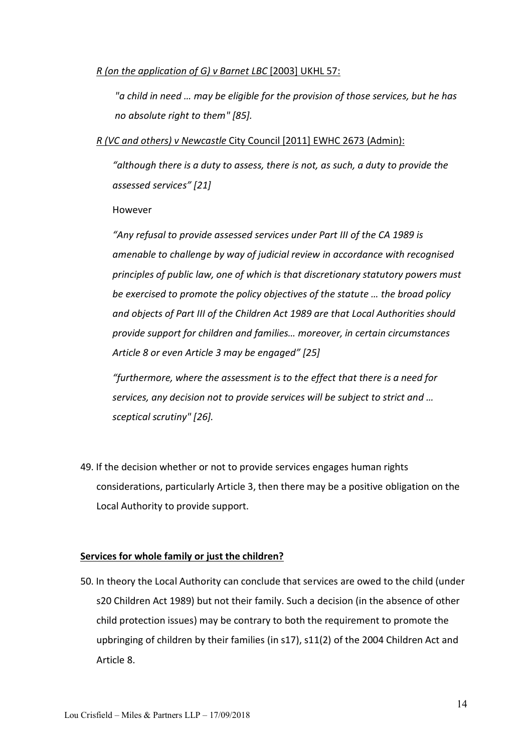#### *[R \(on the application of G\) v Barnet LBC](http://www.bailii.org/uk/cases/UKHL/2003/57.html)* [2003] UKHL 57:

*"a child in need … may be eligible for the provision of those services, but he has no absolute right to them" [85].*

#### *R (VC and others) v Newcastle* City Council [2011] EWHC 2673 (Admin):

*"although there is a duty to assess, there is not, as such, a duty to provide the assessed services" [21]*

#### However

*"Any refusal to provide assessed services under Part III of the CA 1989 is amenable to challenge by way of judicial review in accordance with recognised principles of public law, one of which is that discretionary statutory powers must be exercised to promote the policy objectives of the statute … the broad policy and objects of Part III of the Children Act 1989 are that Local Authorities should provide support for children and families… moreover, in certain circumstances Article 8 or even Article 3 may be engaged" [25]*

*"furthermore, where the assessment is to the effect that there is a need for services, any decision not to provide services will be subject to strict and … sceptical scrutiny" [26].*

49. If the decision whether or not to provide services engages human rights considerations, particularly Article 3, then there may be a positive obligation on the Local Authority to provide support.

#### **Services for whole family or just the children?**

50. In theory the Local Authority can conclude that services are owed to the child (under s20 Children Act 1989) but not their family. Such a decision (in the absence of other child protection issues) may be contrary to both the requirement to promote the upbringing of children by their families (in s17), s11(2) of the 2004 Children Act and Article 8.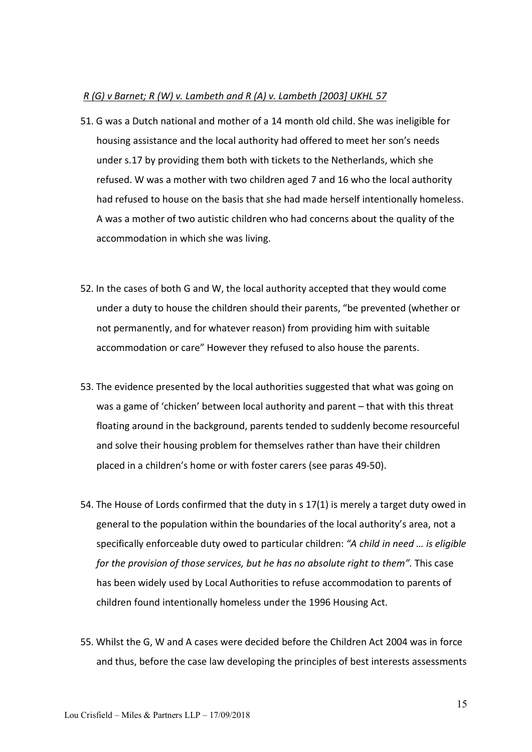#### *R (G) v Barnet; R (W) v. Lambeth and R (A) v. Lambeth [2003] UKHL 57*

- 51. G was a Dutch national and mother of a 14 month old child. She was ineligible for housing assistance and the local authority had offered to meet her son's needs under s.17 by providing them both with tickets to the Netherlands, which she refused. W was a mother with two children aged 7 and 16 who the local authority had refused to house on the basis that she had made herself intentionally homeless. A was a mother of two autistic children who had concerns about the quality of the accommodation in which she was living.
- 52. In the cases of both G and W, the local authority accepted that they would come under a duty to house the children should their parents, "be prevented (whether or not permanently, and for whatever reason) from providing him with suitable accommodation or care" However they refused to also house the parents.
- 53. The evidence presented by the local authorities suggested that what was going on was a game of 'chicken' between local authority and parent – that with this threat floating around in the background, parents tended to suddenly become resourceful and solve their housing problem for themselves rather than have their children placed in a children's home or with foster carers (see paras 49-50).
- 54. The House of Lords confirmed that the duty in s 17(1) is merely a target duty owed in general to the population within the boundaries of the local authority's area, not a specifically enforceable duty owed to particular children: *"A child in need … is eligible for the provision of those services, but he has no absolute right to them".* This case has been widely used by Local Authorities to refuse accommodation to parents of children found intentionally homeless under the 1996 Housing Act.
- 55. Whilst the G, W and A cases were decided before the Children Act 2004 was in force and thus, before the case law developing the principles of best interests assessments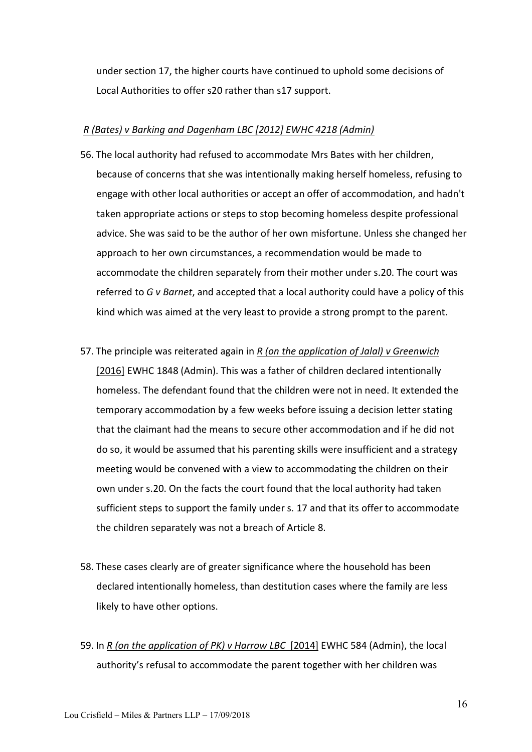under section 17, the higher courts have continued to uphold some decisions of Local Authorities to offer s20 rather than s17 support.

#### *R (Bates) v Barking and Dagenham LBC [2012] EWHC 4218 (Admin)*

- 56. The local authority had refused to accommodate Mrs Bates with her children, because of concerns that she was intentionally making herself homeless, refusing to engage with other local authorities or accept an offer of accommodation, and hadn't taken appropriate actions or steps to stop becoming homeless despite professional advice. She was said to be the author of her own misfortune. Unless she changed her approach to her own circumstances, a recommendation would be made to accommodate the children separately from their mother under s.20. The court was referred to *G v Barnet*, and accepted that a local authority could have a policy of this kind which was aimed at the very least to provide a strong prompt to the parent.
- 57. The principle was reiterated again in *R (on the application of Jalal) v Greenwich* [2016] EWHC 1848 (Admin). This was a father of children declared intentionally homeless. The defendant found that the children were not in need. It extended the temporary accommodation by a few weeks before issuing a decision letter stating that the claimant had the means to secure other accommodation and if he did not do so, it would be assumed that his parenting skills were insufficient and a strategy meeting would be convened with a view to accommodating the children on their own under s.20. On the facts the court found that the local authority had taken sufficient steps to support the family under s. 17 and that its offer to accommodate the children separately was not a breach of Article 8.
- 58. These cases clearly are of greater significance where the household has been declared intentionally homeless, than destitution cases where the family are less likely to have other options.
- 59. In *R (on the application of PK) v Harrow LBC* [2014] EWHC 584 (Admin), the local authority's refusal to accommodate the parent together with her children was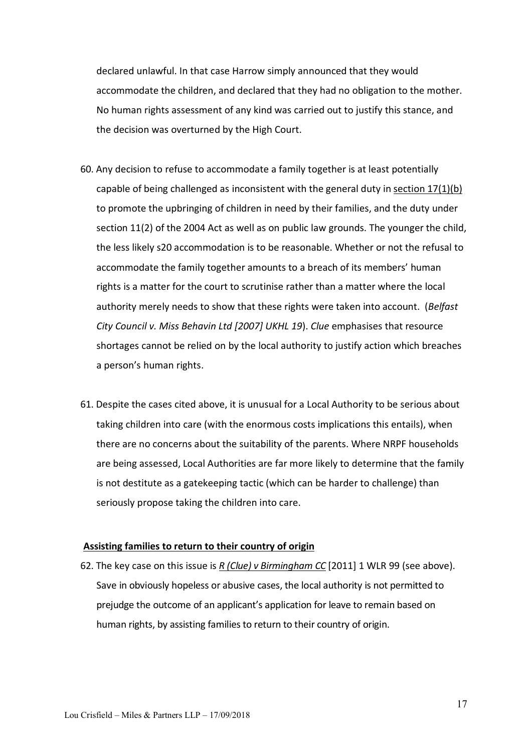declared unlawful. In that case Harrow simply announced that they would accommodate the children, and declared that they had no obligation to the mother. No human rights assessment of any kind was carried out to justify this stance, and the decision was overturned by the High Court.

- 60. Any decision to refuse to accommodate a family together is at least potentially capable of being challenged as inconsistent with the general duty in section 17(1)(b) to promote the upbringing of children in need by their families, and the duty under section 11(2) of the 2004 Act as well as on public law grounds. The younger the child, the less likely s20 accommodation is to be reasonable. Whether or not the refusal to accommodate the family together amounts to a breach of its members' human rights is a matter for the court to scrutinise rather than a matter where the local authority merely needs to show that these rights were taken into account. (*Belfast City Council v. Miss Behavin Ltd [2007] UKHL 19*). *Clue* emphasises that resource shortages cannot be relied on by the local authority to justify action which breaches a person's human rights.
- 61. Despite the cases cited above, it is unusual for a Local Authority to be serious about taking children into care (with the enormous costs implications this entails), when there are no concerns about the suitability of the parents. Where NRPF households are being assessed, Local Authorities are far more likely to determine that the family is not destitute as a gatekeeping tactic (which can be harder to challenge) than seriously propose taking the children into care.

#### **Assisting families to return to their country of origin**

62. The key case on this issue is *R (Clue) v Birmingham CC* [2011] 1 WLR 99 (see above). Save in obviously hopeless or abusive cases, the local authority is not permitted to prejudge the outcome of an applicant's application for leave to remain based on human rights, by assisting families to return to their country of origin.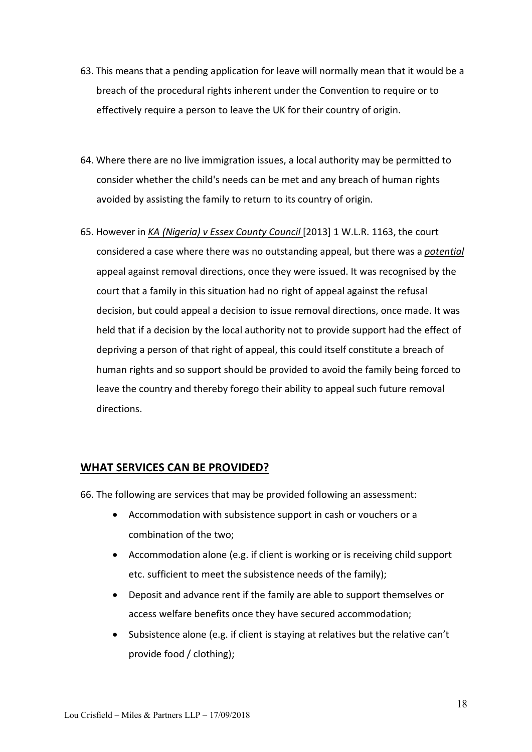- 63. This means that a pending application for leave will normally mean that it would be a breach of the procedural rights inherent under the Convention to require or to effectively require a person to leave the UK for their country of origin.
- 64. Where there are no live immigration issues, a local authority may be permitted to consider whether the child's needs can be met and any breach of human rights avoided by assisting the family to return to its country of origin.
- 65. However in *KA (Nigeria) v Essex County Council* [2013] 1 W.L.R. 1163, the court considered a case where there was no outstanding appeal, but there was a *potential* appeal against removal directions, once they were issued. It was recognised by the court that a family in this situation had no right of appeal against the refusal decision, but could appeal a decision to issue removal directions, once made. It was held that if a decision by the local authority not to provide support had the effect of depriving a person of that right of appeal, this could itself constitute a breach of human rights and so support should be provided to avoid the family being forced to leave the country and thereby forego their ability to appeal such future removal directions.

# **WHAT SERVICES CAN BE PROVIDED?**

66. The following are services that may be provided following an assessment:

- Accommodation with subsistence support in cash or vouchers or a combination of the two;
- Accommodation alone (e.g. if client is working or is receiving child support etc. sufficient to meet the subsistence needs of the family);
- Deposit and advance rent if the family are able to support themselves or access welfare benefits once they have secured accommodation;
- Subsistence alone (e.g. if client is staying at relatives but the relative can't provide food / clothing);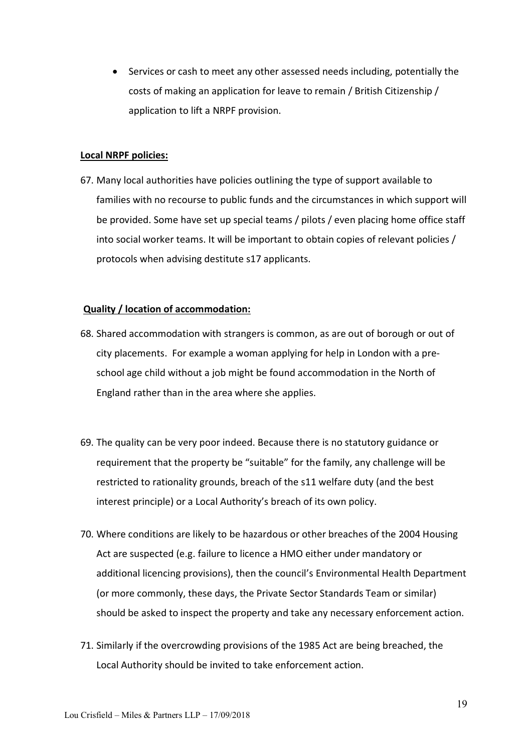• Services or cash to meet any other assessed needs including, potentially the costs of making an application for leave to remain / British Citizenship / application to lift a NRPF provision.

#### **Local NRPF policies:**

67. Many local authorities have policies outlining the type of support available to families with no recourse to public funds and the circumstances in which support will be provided. Some have set up special teams / pilots / even placing home office staff into social worker teams. It will be important to obtain copies of relevant policies / protocols when advising destitute s17 applicants.

#### **Quality / location of accommodation:**

- 68. Shared accommodation with strangers is common, as are out of borough or out of city placements. For example a woman applying for help in London with a preschool age child without a job might be found accommodation in the North of England rather than in the area where she applies.
- 69. The quality can be very poor indeed. Because there is no statutory guidance or requirement that the property be "suitable" for the family, any challenge will be restricted to rationality grounds, breach of the s11 welfare duty (and the best interest principle) or a Local Authority's breach of its own policy.
- 70. Where conditions are likely to be hazardous or other breaches of the 2004 Housing Act are suspected (e.g. failure to licence a HMO either under mandatory or additional licencing provisions), then the council's Environmental Health Department (or more commonly, these days, the Private Sector Standards Team or similar) should be asked to inspect the property and take any necessary enforcement action.
- 71. Similarly if the overcrowding provisions of the 1985 Act are being breached, the Local Authority should be invited to take enforcement action.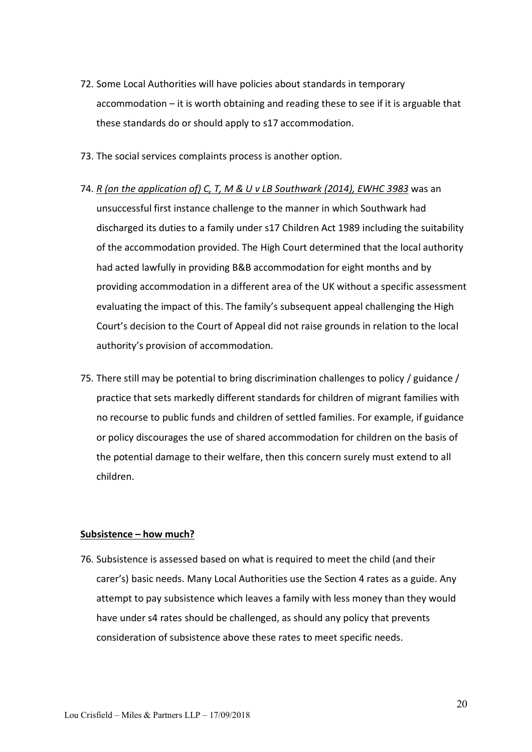- 72. Some Local Authorities will have policies about standards in temporary accommodation – it is worth obtaining and reading these to see if it is arguable that these standards do or should apply to s17 accommodation.
- 73. The social services complaints process is another option.
- 74. *R (on the application of) C, T, M & U v LB Southwark (2014), EWHC 3983* was an unsuccessful first instance challenge to the manner in which Southwark had discharged its duties to a family under s17 Children Act 1989 including the suitability of the accommodation provided. The High Court determined that the local authority had acted lawfully in providing B&B accommodation for eight months and by providing accommodation in a different area of the UK without a specific assessment evaluating the impact of this. The family's subsequent appeal challenging the High Court's decision to the Court of Appeal did not raise grounds in relation to the local authority's provision of accommodation.
- 75. There still may be potential to bring discrimination challenges to policy / guidance / practice that sets markedly different standards for children of migrant families with no recourse to public funds and children of settled families. For example, if guidance or policy discourages the use of shared accommodation for children on the basis of the potential damage to their welfare, then this concern surely must extend to all children.

#### **Subsistence – how much?**

76. Subsistence is assessed based on what is required to meet the child (and their carer's) basic needs. Many Local Authorities use the Section 4 rates as a guide. Any attempt to pay subsistence which leaves a family with less money than they would have under s4 rates should be challenged, as should any policy that prevents consideration of subsistence above these rates to meet specific needs.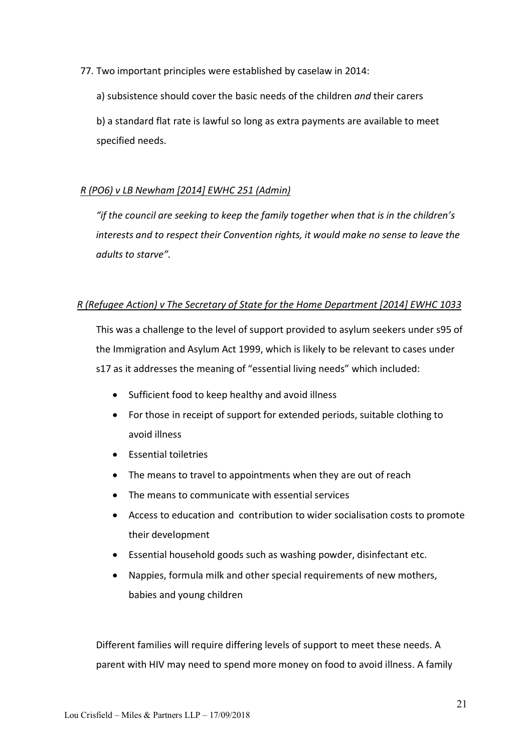77. Two important principles were established by caselaw in 2014:

a) subsistence should cover the basic needs of the children *and* their carers

b) a standard flat rate is lawful so long as extra payments are available to meet specified needs.

## *R (PO6) v LB Newham [2014] EWHC 251 (Admin)*

*"if the council are seeking to keep the family together when that is in the children's interests and to respect their Convention rights, it would make no sense to leave the adults to starve".*

## *R (Refugee Action) v The Secretary of State for the Home Department [2014] EWHC 1033*

This was a challenge to the level of support provided to asylum seekers under s95 of the Immigration and Asylum Act 1999, which is likely to be relevant to cases under s17 as it addresses the meaning of "essential living needs" which included:

- Sufficient food to keep healthy and avoid illness
- For those in receipt of support for extended periods, suitable clothing to avoid illness
- Essential toiletries
- The means to travel to appointments when they are out of reach
- The means to communicate with essential services
- Access to education and contribution to wider socialisation costs to promote their development
- Essential household goods such as washing powder, disinfectant etc.
- Nappies, formula milk and other special requirements of new mothers, babies and young children

Different families will require differing levels of support to meet these needs. A parent with HIV may need to spend more money on food to avoid illness. A family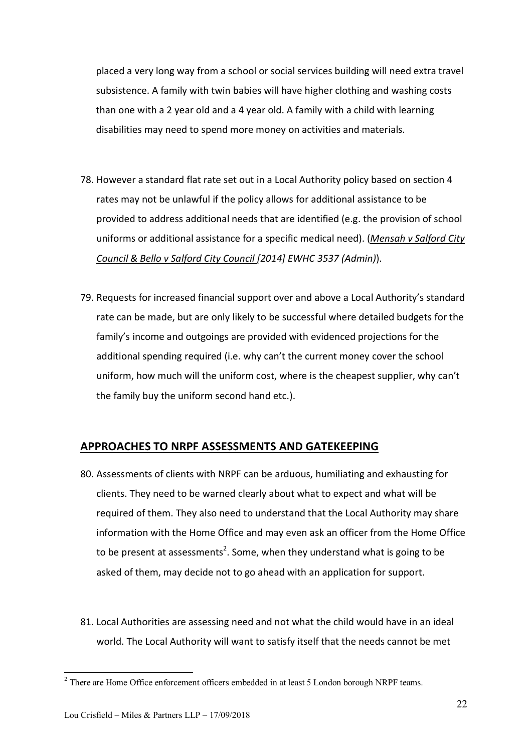placed a very long way from a school or social services building will need extra travel subsistence. A family with twin babies will have higher clothing and washing costs than one with a 2 year old and a 4 year old. A family with a child with learning disabilities may need to spend more money on activities and materials.

- 78. However a standard flat rate set out in a Local Authority policy based on section 4 rates may not be unlawful if the policy allows for additional assistance to be provided to address additional needs that are identified (e.g. the provision of school uniforms or additional assistance for a specific medical need). (*Mensah v Salford City Council & Bello v Salford City Council [2014] EWHC 3537 (Admin)*).
- 79. Requests for increased financial support over and above a Local Authority's standard rate can be made, but are only likely to be successful where detailed budgets for the family's income and outgoings are provided with evidenced projections for the additional spending required (i.e. why can't the current money cover the school uniform, how much will the uniform cost, where is the cheapest supplier, why can't the family buy the uniform second hand etc.).

# **APPROACHES TO NRPF ASSESSMENTS AND GATEKEEPING**

- 80. Assessments of clients with NRPF can be arduous, humiliating and exhausting for clients. They need to be warned clearly about what to expect and what will be required of them. They also need to understand that the Local Authority may share information with the Home Office and may even ask an officer from the Home Office to be present at assessments<sup>2</sup>. Some, when they understand what is going to be asked of them, may decide not to go ahead with an application for support.
- 81. Local Authorities are assessing need and not what the child would have in an ideal world. The Local Authority will want to satisfy itself that the needs cannot be met

<sup>&</sup>lt;sup>2</sup> There are Home Office enforcement officers embedded in at least 5 London borough NRPF teams.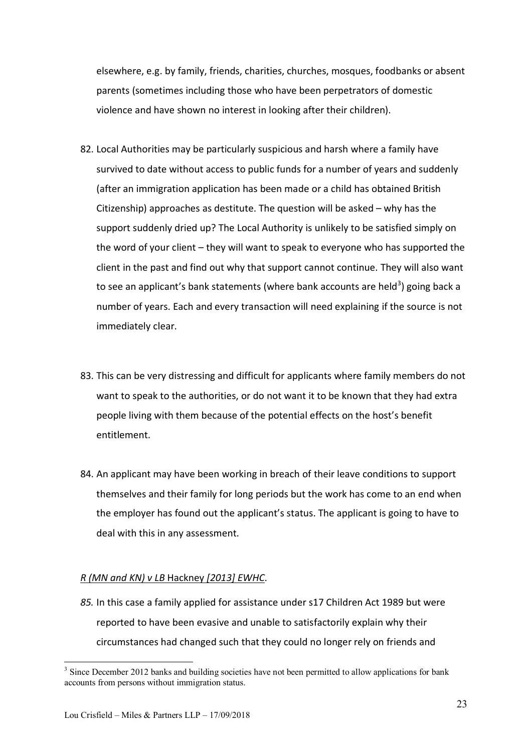elsewhere, e.g. by family, friends, charities, churches, mosques, foodbanks or absent parents (sometimes including those who have been perpetrators of domestic violence and have shown no interest in looking after their children).

- 82. Local Authorities may be particularly suspicious and harsh where a family have survived to date without access to public funds for a number of years and suddenly (after an immigration application has been made or a child has obtained British Citizenship) approaches as destitute. The question will be asked – why has the support suddenly dried up? The Local Authority is unlikely to be satisfied simply on the word of your client – they will want to speak to everyone who has supported the client in the past and find out why that support cannot continue. They will also want to see an applicant's bank statements (where bank accounts are held<sup>3</sup>) going back a number of years. Each and every transaction will need explaining if the source is not immediately clear.
- 83. This can be very distressing and difficult for applicants where family members do not want to speak to the authorities, or do not want it to be known that they had extra people living with them because of the potential effects on the host's benefit entitlement.
- 84. An applicant may have been working in breach of their leave conditions to support themselves and their family for long periods but the work has come to an end when the employer has found out the applicant's status. The applicant is going to have to deal with this in any assessment.

#### *R (MN and KN) v LB* Hackney *[2013] EWHC*.

*85.* In this case a family applied for assistance under s17 Children Act 1989 but were reported to have been evasive and unable to satisfactorily explain why their circumstances had changed such that they could no longer rely on friends and

<sup>&</sup>lt;sup>3</sup> Since December 2012 banks and building societies have not been permitted to allow applications for bank accounts from persons without immigration status.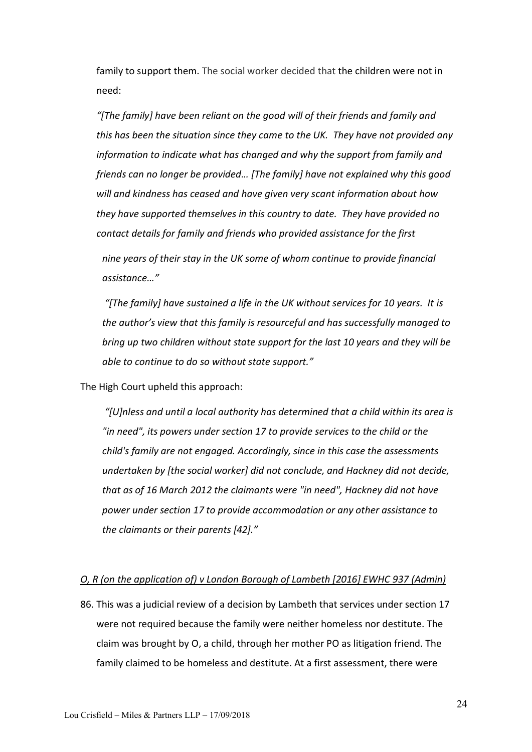family to support them. The social worker decided that the children were not in need:

*"[The family] have been reliant on the good will of their friends and family and this has been the situation since they came to the UK. They have not provided any information to indicate what has changed and why the support from family and friends can no longer be provided… [The family] have not explained why this good will and kindness has ceased and have given very scant information about how they have supported themselves in this country to date. They have provided no contact details for family and friends who provided assistance for the first*

*nine years of their stay in the UK some of whom continue to provide financial assistance…"*

*"[The family] have sustained a life in the UK without services for 10 years. It is the author's view that this family is resourceful and has successfully managed to bring up two children without state support for the last 10 years and they will be able to continue to do so without state support."*

The High Court upheld this approach:

*"[U]nless and until a local authority has determined that a child within its area is "in need", its powers under section 17 to provide services to the child or the child's family are not engaged. Accordingly, since in this case the assessments undertaken by [the social worker] did not conclude, and Hackney did not decide, that as of 16 March 2012 the claimants were "in need", Hackney did not have power under section 17 to provide accommodation or any other assistance to the claimants or their parents [42]."*

#### *[O, R \(on the application of\) v London Borough of Lambeth](http://www.bailii.org/ew/cases/EWHC/Admin/2016/937.html) [2016] EWHC 937 (Admin)*

86. This was a judicial review of a decision by Lambeth that services under section 17 were not required because the family were neither homeless nor destitute. The claim was brought by O, a child, through her mother PO as litigation friend. The family claimed to be homeless and destitute. At a first assessment, there were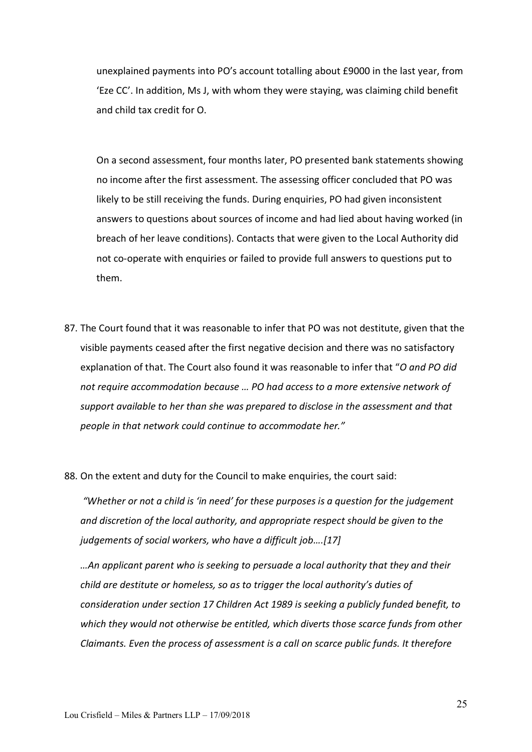unexplained payments into PO's account totalling about £9000 in the last year, from 'Eze CC'. In addition, Ms J, with whom they were staying, was claiming child benefit and child tax credit for O.

On a second assessment, four months later, PO presented bank statements showing no income after the first assessment. The assessing officer concluded that PO was likely to be still receiving the funds. During enquiries, PO had given inconsistent answers to questions about sources of income and had lied about having worked (in breach of her leave conditions). Contacts that were given to the Local Authority did not co-operate with enquiries or failed to provide full answers to questions put to them.

- 87. The Court found that it was reasonable to infer that PO was not destitute, given that the visible payments ceased after the first negative decision and there was no satisfactory explanation of that. The Court also found it was reasonable to infer that "*O and PO did not require accommodation because … PO had access to a more extensive network of support available to her than she was prepared to disclose in the assessment and that people in that network could continue to accommodate her."*
- 88. On the extent and duty for the Council to make enquiries, the court said:

*"Whether or not a child is 'in need' for these purposes is a question for the judgement and discretion of the local authority, and appropriate respect should be given to the judgements of social workers, who have a difficult job….[17]*

*…An applicant parent who is seeking to persuade a local authority that they and their child are destitute or homeless, so as to trigger the local authority's duties of consideration under section 17 Children Act 1989 is seeking a publicly funded benefit, to which they would not otherwise be entitled, which diverts those scarce funds from other Claimants. Even the process of assessment is a call on scarce public funds. It therefore*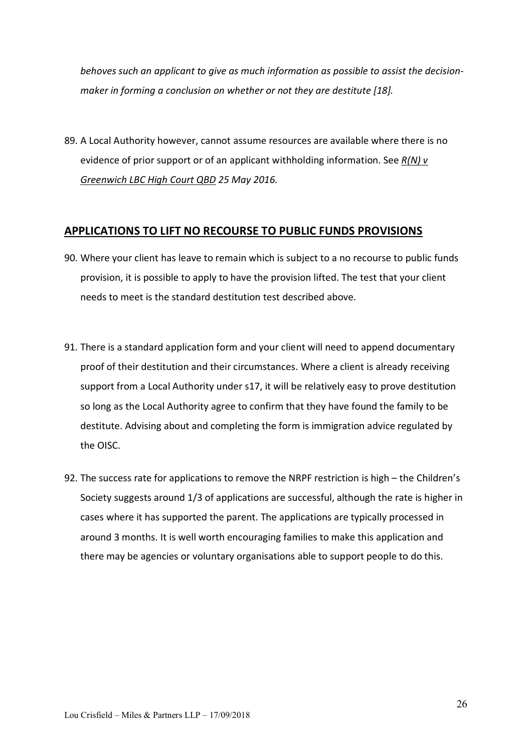*behoves such an applicant to give as much information as possible to assist the decisionmaker in forming a conclusion on whether or not they are destitute [18].*

89. A Local Authority however, cannot assume resources are available where there is no evidence of prior support or of an applicant withholding information. See *R(N) v Greenwich LBC High Court QBD 25 May 2016.*

### **APPLICATIONS TO LIFT NO RECOURSE TO PUBLIC FUNDS PROVISIONS**

- 90. Where your client has leave to remain which is subject to a no recourse to public funds provision, it is possible to apply to have the provision lifted. The test that your client needs to meet is the standard destitution test described above.
- 91. There is a standard application form and your client will need to append documentary proof of their destitution and their circumstances. Where a client is already receiving support from a Local Authority under s17, it will be relatively easy to prove destitution so long as the Local Authority agree to confirm that they have found the family to be destitute. Advising about and completing the form is immigration advice regulated by the OISC.
- 92. The success rate for applications to remove the NRPF restriction is high the Children's Society suggests around 1/3 of applications are successful, although the rate is higher in cases where it has supported the parent. The applications are typically processed in around 3 months. It is well worth encouraging families to make this application and there may be agencies or voluntary organisations able to support people to do this.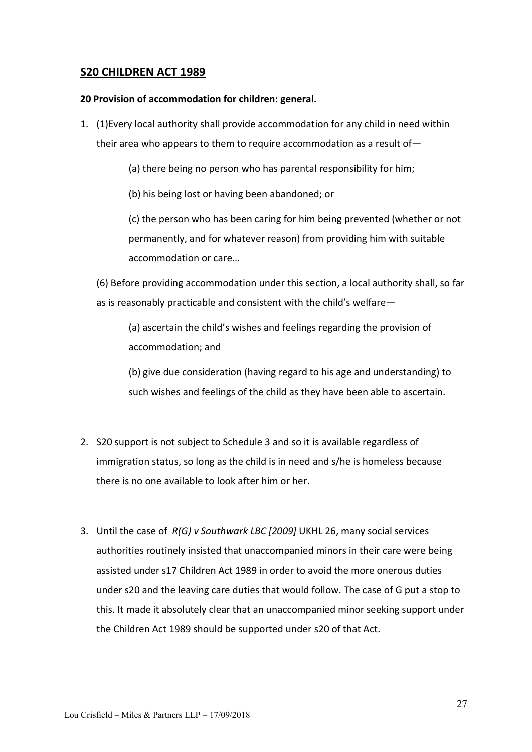## **S20 CHILDREN ACT 1989**

#### **20 Provision of accommodation for children: general.**

- 1. (1)Every local authority shall provide accommodation for any child in need within their area who appears to them to require accommodation as a result of—
	- (a) there being no person who has parental responsibility for him;

(b) his being lost or having been abandoned; or

(c) the person who has been caring for him being prevented (whether or not permanently, and for whatever reason) from providing him with suitable accommodation or care…

(6) Before providing accommodation under this section, a local authority shall, so far as is reasonably practicable and consistent with the child's welfare—

(a) ascertain the child's wishes and feelings regarding the provision of accommodation; and

(b) give due consideration (having regard to his age and understanding) to such wishes and feelings of the child as they have been able to ascertain.

- 2. S20 support is not subject to Schedule 3 and so it is available regardless of immigration status, so long as the child is in need and s/he is homeless because there is no one available to look after him or her.
- 3. Until the case of *R(G) v Southwark LBC [2009]* UKHL 26, many social services authorities routinely insisted that unaccompanied minors in their care were being assisted under s17 Children Act 1989 in order to avoid the more onerous duties under s20 and the leaving care duties that would follow. The case of G put a stop to this. It made it absolutely clear that an unaccompanied minor seeking support under the Children Act 1989 should be supported under s20 of that Act.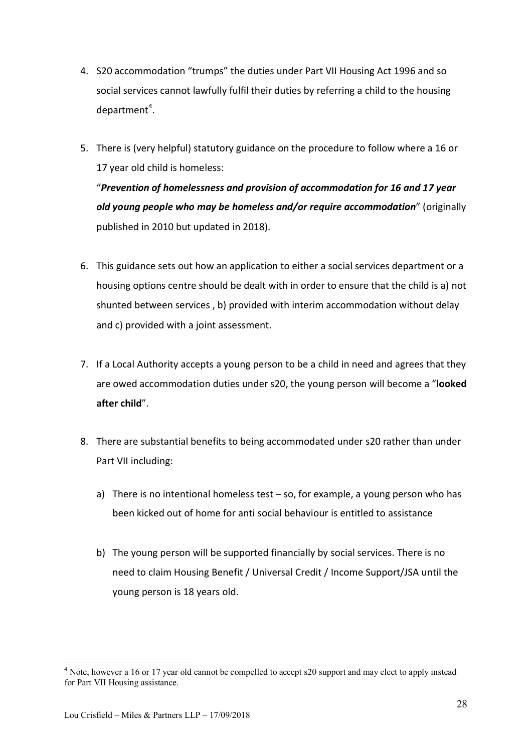- 4. S20 accommodation "trumps" the duties under Part VII Housing Act 1996 and so social services cannot lawfully fulfil their duties by referring a child to the housing department<sup>4</sup>.
- 5. There is (very helpful) statutory guidance on the procedure to follow where a 16 or 17 year old child is homeless: "*Prevention of homelessness and provision of accommodation for 16 and 17 year old young people who may be homeless and/or require accommodation*" (originally published in 2010 but updated in 2018).
- 6. This guidance sets out how an application to either a social services department or a housing options centre should be dealt with in order to ensure that the child is a) not shunted between services , b) provided with interim accommodation without delay and c) provided with a joint assessment.
- 7. If a Local Authority accepts a young person to be a child in need and agrees that they are owed accommodation duties under s20, the young person will become a "**looked after child**".
- 8. There are substantial benefits to being accommodated under s20 rather than under Part VII including:
	- a) There is no intentional homeless test so, for example, a young person who has been kicked out of home for anti social behaviour is entitled to assistance
	- b) The young person will be supported financially by social services. There is no need to claim Housing Benefit / Universal Credit / Income Support/JSA until the young person is 18 years old.

<sup>&</sup>lt;sup>4</sup> Note, however a 16 or 17 year old cannot be compelled to accept s20 support and may elect to apply instead for Part VII Housing assistance.